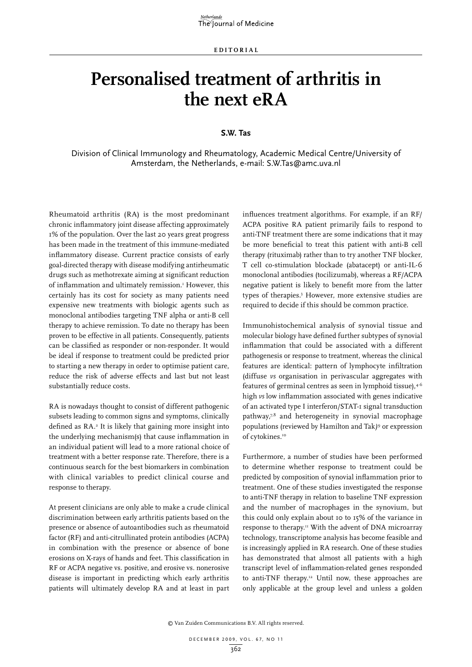## **Personalised treatment of arthritis in the next eRA**

## **S.W. Tas**

Division of Clinical Immunology and Rheumatology, Academic Medical Centre/University of Amsterdam, the Netherlands, e-mail: S.W.Tas@amc.uva.nl

Rheumatoid arthritis (RA) is the most predominant chronic inflammatory joint disease affecting approximately 1% of the population. Over the last 20 years great progress has been made in the treatment of this immune-mediated inflammatory disease. Current practice consists of early goal-directed therapy with disease modifying antirheumatic drugs such as methotrexate aiming at significant reduction of inflammation and ultimately remission.<sup>1</sup> However, this certainly has its cost for society as many patients need expensive new treatments with biologic agents such as monoclonal antibodies targeting TNF alpha or anti-B cell therapy to achieve remission. To date no therapy has been proven to be effective in all patients. Consequently, patients can be classified as responder or non-responder. It would be ideal if response to treatment could be predicted prior to starting a new therapy in order to optimise patient care, reduce the risk of adverse effects and last but not least substantially reduce costs.

RA is nowadays thought to consist of different pathogenic subsets leading to common signs and symptoms, clinically defined as RA.2 It is likely that gaining more insight into the underlying mechanism(s) that cause inflammation in an individual patient will lead to a more rational choice of treatment with a better response rate. Therefore, there is a continuous search for the best biomarkers in combination with clinical variables to predict clinical course and response to therapy.

At present clinicians are only able to make a crude clinical discrimination between early arthritis patients based on the presence or absence of autoantibodies such as rheumatoid factor (RF) and anti-citrullinated protein antibodies (ACPA) in combination with the presence or absence of bone erosions on X-rays of hands and feet. This classification in RF or ACPA negative vs. positive, and erosive vs. nonerosive disease is important in predicting which early arthritis patients will ultimately develop RA and at least in part

influences treatment algorithms. For example, if an RF/ ACPA positive RA patient primarily fails to respond to anti-TNF treatment there are some indications that it may be more beneficial to treat this patient with anti-B cell therapy (rituximab) rather than to try another TNF blocker, T cell co-stimulation blockade (abatacept) or anti-IL-6 monoclonal antibodies (tocilizumab), whereas a RF/ACPA negative patient is likely to benefit more from the latter types of therapies.3 However, more extensive studies are required to decide if this should be common practice.

Immunohistochemical analysis of synovial tissue and molecular biology have defined further subtypes of synovial inflammation that could be associated with a different pathogenesis or response to treatment, whereas the clinical features are identical: pattern of lymphocyte infiltration (diffuse *vs* organisation in perivascular aggregates with features of germinal centres as seen in lymphoid tissue), $4-6$ high *vs* low inflammation associated with genes indicative of an activated type I interferon/STAT-1 signal transduction pathway,7,8 and heterogeneity in synovial macrophage populations (reviewed by Hamilton and Tak*)*9 or expression of cytokines.<sup>10</sup>

Furthermore, a number of studies have been performed to determine whether response to treatment could be predicted by composition of synovial inflammation prior to treatment. One of these studies investigated the response to anti-TNF therapy in relation to baseline TNF expression and the number of macrophages in the synovium, but this could only explain about 10 to 15% of the variance in response to therapy.<sup>11</sup> With the advent of DNA microarray technology, transcriptome analysis has become feasible and is increasingly applied in RA research. One of these studies has demonstrated that almost all patients with a high transcript level of inflammation-related genes responded to anti-TNF therapy.12 Until now, these approaches are only applicable at the group level and unless a golden